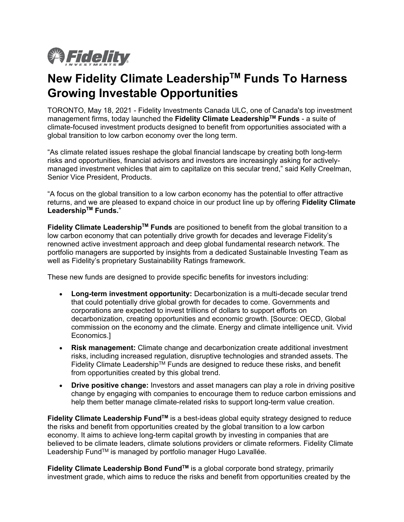

# **New Fidelity Climate LeadershipTM Funds To Harness Growing Investable Opportunities**

TORONTO, May 18, 2021 - Fidelity Investments Canada ULC, one of Canada's top investment management firms, today launched the **Fidelity Climate LeadershipTM Funds** - a suite of climate-focused investment products designed to benefit from opportunities associated with a global transition to low carbon economy over the long term.

"As climate related issues reshape the global financial landscape by creating both long-term risks and opportunities, financial advisors and investors are increasingly asking for activelymanaged investment vehicles that aim to capitalize on this secular trend," said Kelly Creelman, Senior Vice President, Products.

"A focus on the global transition to a low carbon economy has the potential to offer attractive returns, and we are pleased to expand choice in our product line up by offering **Fidelity Climate LeadershipTM Funds.**"

**Fidelity Climate LeadershipTM Funds** are positioned to benefit from the global transition to a low carbon economy that can potentially drive growth for decades and leverage Fidelity's renowned active investment approach and deep global fundamental research network. The portfolio managers are supported by insights from a dedicated Sustainable Investing Team as well as Fidelity's proprietary Sustainability Ratings framework.

These new funds are designed to provide specific benefits for investors including:

- **Long-term investment opportunity:** Decarbonization is a multi-decade secular trend that could potentially drive global growth for decades to come. Governments and corporations are expected to invest trillions of dollars to support efforts on decarbonization, creating opportunities and economic growth. [Source: OECD, Global commission on the economy and the climate. Energy and climate intelligence unit. Vivid Economics.]
- **Risk management:** Climate change and decarbonization create additional investment risks, including increased regulation, disruptive technologies and stranded assets. The Fidelity Climate Leadership<sup>TM</sup> Funds are designed to reduce these risks, and benefit from opportunities created by this global trend.
- **Drive positive change:** Investors and asset managers can play a role in driving positive change by engaging with companies to encourage them to reduce carbon emissions and help them better manage climate-related risks to support long-term value creation.

**Fidelity Climate Leadership FundTM** is a best-ideas global equity strategy designed to reduce the risks and benefit from opportunities created by the global transition to a low carbon economy. It aims to achieve long-term capital growth by investing in companies that are believed to be climate leaders, climate solutions providers or climate reformers. Fidelity Climate Leadership Fund™ is managed by portfolio manager Hugo Lavallée.

**Fidelity Climate Leadership Bond FundTM** is a global corporate bond strategy, primarily investment grade, which aims to reduce the risks and benefit from opportunities created by the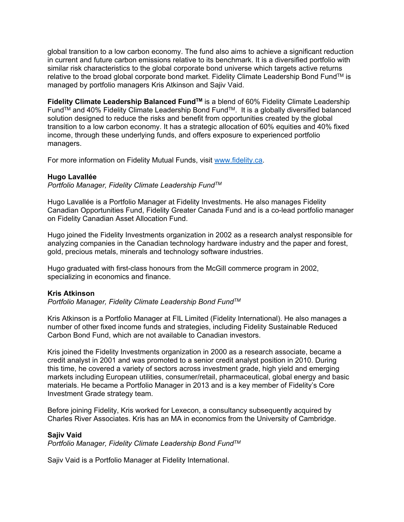global transition to a low carbon economy. The fund also aims to achieve a significant reduction in current and future carbon emissions relative to its benchmark. It is a diversified portfolio with similar risk characteristics to the global corporate bond universe which targets active returns relative to the broad global corporate bond market. Fidelity Climate Leadership Bond Fund™ is managed by portfolio managers Kris Atkinson and Sajiv Vaid.

**Fidelity Climate Leadership Balanced FundTM** is a blend of 60% Fidelity Climate Leadership Fund<sup>TM</sup> and 40% Fidelity Climate Leadership Bond Fund<sup>TM</sup>. It is a globally diversified balanced solution designed to reduce the risks and benefit from opportunities created by the global transition to a low carbon economy. It has a strategic allocation of 60% equities and 40% fixed income, through these underlying funds, and offers exposure to experienced portfolio managers.

For more information on Fidelity Mutual Funds, visit [www.fidelity.ca.](http://www.fidelity.ca/)

### **Hugo Lavallée**

*Portfolio Manager, Fidelity Climate Leadership FundTM*

Hugo Lavallée is a Portfolio Manager at Fidelity Investments. He also manages Fidelity Canadian Opportunities Fund, Fidelity Greater Canada Fund and is a co-lead portfolio manager on Fidelity Canadian Asset Allocation Fund.

Hugo joined the Fidelity Investments organization in 2002 as a research analyst responsible for analyzing companies in the Canadian technology hardware industry and the paper and forest, gold, precious metals, minerals and technology software industries.

Hugo graduated with first-class honours from the McGill commerce program in 2002, specializing in economics and finance.

#### **Kris Atkinson**

*Portfolio Manager, Fidelity Climate Leadership Bond FundTM*

Kris Atkinson is a Portfolio Manager at FIL Limited (Fidelity International). He also manages a number of other fixed income funds and strategies, including Fidelity Sustainable Reduced Carbon Bond Fund, which are not available to Canadian investors.

Kris joined the Fidelity Investments organization in 2000 as a research associate, became a credit analyst in 2001 and was promoted to a senior credit analyst position in 2010. During this time, he covered a variety of sectors across investment grade, high yield and emerging markets including European utilities, consumer/retail, pharmaceutical, global energy and basic materials. He became a Portfolio Manager in 2013 and is a key member of Fidelity's Core Investment Grade strategy team.

Before joining Fidelity, Kris worked for Lexecon, a consultancy subsequently acquired by Charles River Associates. Kris has an MA in economics from the University of Cambridge.

#### **Sajiv Vaid**

*Portfolio Manager, Fidelity Climate Leadership Bond FundTM*

Sajiv Vaid is a Portfolio Manager at Fidelity International.